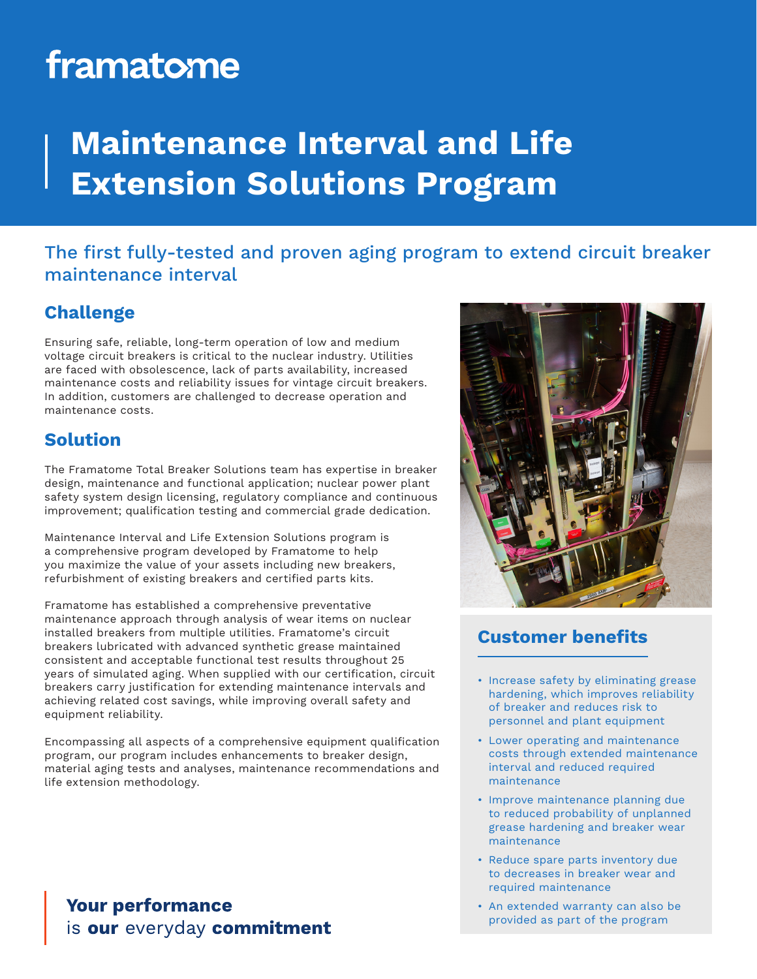# framatome

## **Maintenance Interval and Life Extension Solutions Program**

### The first fully-tested and proven aging program to extend circuit breaker maintenance interval

#### **Challenge**

Ensuring safe, reliable, long-term operation of low and medium voltage circuit breakers is critical to the nuclear industry. Utilities are faced with obsolescence, lack of parts availability, increased maintenance costs and reliability issues for vintage circuit breakers. In addition, customers are challenged to decrease operation and maintenance costs.

#### **Solution**

The Framatome Total Breaker Solutions team has expertise in breaker design, maintenance and functional application; nuclear power plant safety system design licensing, regulatory compliance and continuous improvement; qualification testing and commercial grade dedication.

Maintenance Interval and Life Extension Solutions program is a comprehensive program developed by Framatome to help you maximize the value of your assets including new breakers, refurbishment of existing breakers and certified parts kits.

Framatome has established a comprehensive preventative maintenance approach through analysis of wear items on nuclear installed breakers from multiple utilities. Framatome's circuit breakers lubricated with advanced synthetic grease maintained consistent and acceptable functional test results throughout 25 years of simulated aging. When supplied with our certification, circuit breakers carry justification for extending maintenance intervals and achieving related cost savings, while improving overall safety and equipment reliability.

Encompassing all aspects of a comprehensive equipment qualification program, our program includes enhancements to breaker design, material aging tests and analyses, maintenance recommendations and life extension methodology.

#### **Your performance** is our everyday commitment



#### **Customer benefits**

- Increase safety by eliminating grease hardening, which improves reliability of breaker and reduces risk to personnel and plant equipment
- Lower operating and maintenance costs through extended maintenance interval and reduced required maintenance
- Improve maintenance planning due to reduced probability of unplanned grease hardening and breaker wear maintenance
- Reduce spare parts inventory due to decreases in breaker wear and required maintenance
- An extended warranty can also be provided as part of the program